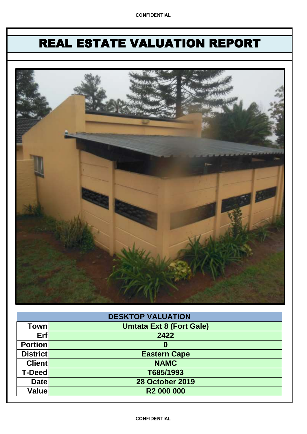# REAL ESTATE VALUATION REPORT



| <b>DESKTOP VALUATION</b> |                                 |  |  |  |  |
|--------------------------|---------------------------------|--|--|--|--|
| Town                     | <b>Umtata Ext 8 (Fort Gale)</b> |  |  |  |  |
| Erf                      | 2422                            |  |  |  |  |
| <b>Portion</b>           | O                               |  |  |  |  |
| <b>District</b>          | <b>Eastern Cape</b>             |  |  |  |  |
| <b>Client</b>            | <b>NAMC</b>                     |  |  |  |  |
| <b>T-Deed</b>            | T685/1993                       |  |  |  |  |
| <b>Date</b>              | <b>28 October 2019</b>          |  |  |  |  |
| Value                    | <b>R2 000 000</b>               |  |  |  |  |

### CONFIDENTIAL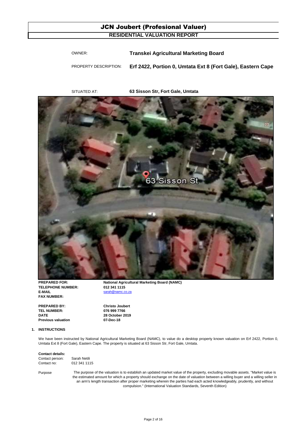### JCN Joubert (Profesional Valuer) **RESIDENTIAL VALUATION REPORT**

| Transkei Agricultural Marketing Board<br>OWNER: |  |
|-------------------------------------------------|--|
|-------------------------------------------------|--|

PROPERTY DESCRIPTION: **Erf 2422, Portion 0, Umtata Ext 8 (Fort Gale), Eastern Cape**

SITUATED AT: **63 Sisson Str, Fort Gale, Umtata**



**TELEPHONE NUMBER: 012 341 1115 E-MAIL** sarah@namc.co **FAX NUMBER:**

**PREPARED BY: Christo Joubert TEL NUMBER: 076 999 7766 DATE Previous valuation 07-Dec-18**

**PREPARED FOR:** National Agricultural Marketing Board (NAMC)

**28 October 2019**

#### **1. INSTRUCTIONS**

We have been instructed by National Agricultural Marketing Board (NAMC), to value do a desktop property known valuation on Erf 2422, Portion 0, Umtata Ext 8 (Fort Gale), Eastern Cape. The property is situated at 63 Sisson Str, Fort Gale, Umtata.

### **Contact details:**

| Contact person: | Sarah Netili |
|-----------------|--------------|
| Contact no:     | 012 341 1115 |

Purpose

The purpose of the valuation is to establish an updated market value of the property, excluding movable assets. "Market value is the estimated amount for which a property should exchange on the date of valuation between a willing buyer and a willing seller in an arm's length transaction after proper marketing wherein the parties had each acted knowledgeably, prudently, and without compulsion." (International Valuation Standards, Seventh Edition)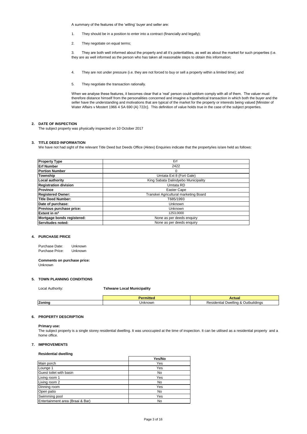A summary of the features of the 'willing' buyer and seller are:

- 1. They should be in a position to enter into a contract (financially and legally);
- 2. They negotiate on equal terms;

3. They are both well informed about the property and all it's potentialities, as well as about the market for such properties (i.e. they are as well informed as the person who has taken all reasonable steps to obtain this information;

- 4. They are not under pressure (i.e. they are not forced to buy or sell a property within a limited time); and
- 5. They negotiate the transaction rationally.

When we analyse these features, it becomes clear that a 'real' person could seldom comply with all of them. The valuer must therefore distance himself from the personalities concerned and imagine a hypothetical transaction in which both the buyer and the seller have the understanding and motivations that are typical of the market for the property or interests being valued [Minister of Water Affairs v Mostert 1966 4 SA 690 (A) 722c]. This definition of value holds true in the case of the subject properties.

#### **2. DATE OF INSPECTION**

The subject property was physically inspected on 10 October 2017

#### **3. TITLE DEED INFORMATION**

We have not had sight of the relevant Title Deed but Deeds Office (Aktex) Enquiries indicate that the property/ies is/are held as follows:

| <b>Property Type</b>         | Erf                                   |  |  |  |
|------------------------------|---------------------------------------|--|--|--|
| <b>Erf Number</b>            | 2422                                  |  |  |  |
| <b>Portion Number</b>        | 0                                     |  |  |  |
| Township                     | Umtata Ext 8 (Fort Gale)              |  |  |  |
| Local authority              | King Sabata Dalindyebo Municipality   |  |  |  |
| <b>Registration division</b> | Umtata RD                             |  |  |  |
| Province                     | Easter Cape                           |  |  |  |
| <b>Registered Owner:</b>     | Transkei Agricultural marketing Board |  |  |  |
| <b>Title Deed Number:</b>    | T685/1993                             |  |  |  |
| Date of purchase:            | <b>Unknown</b>                        |  |  |  |
| Previous purchase price:     | Unknown                               |  |  |  |
| Extent in m <sup>2</sup>     | 1253.0000                             |  |  |  |
| Mortgage bonds registered:   | None as per deeds enquiry             |  |  |  |
| Servitudes noted:            | None as per deeds enquiry             |  |  |  |

#### **4. PURCHASE PRICE**

Purchase Date: Purchase Price: Unknown Unknown

**Comments on purchase price:** Unknown

#### **5. TOWN PLANNING CONDITIONS**

Local Authority:

**Tshwane Local Municipality**

|                     |         | лстиа                                                                                                  |
|---------------------|---------|--------------------------------------------------------------------------------------------------------|
| '-<br><b>Zoninc</b> | Jnknowr | $\cdots$<br>) uth<br>تممد<br><i><b>Jwelling</b></i><br>uildinas<br>$i$ dontic<br>. .<br>≂⊔⊔a.<br>יוכשו |
|                     |         |                                                                                                        |

#### **6. PROPERTY DESCRIPTION**

#### **Primary use:**

The subject property is a single storey residential dwelling. It was unoccupied at the time of inspection. It can be utilised as a residential property and a home office.

#### **7. IMPROVEMENTS**

#### **Residential dwelling**

|                                  | Yes/No |
|----------------------------------|--------|
| Main porch                       | Yes    |
| Lounge 1                         | Yes    |
| Guest toilet with basin          | No     |
| Living room 1                    | Yes    |
| Living room 2                    | No     |
| Dinning room                     | Yes    |
| Open patio                       | No     |
| Swimming pool                    | Yes    |
| Entertainment area (Braai & Bar) | No     |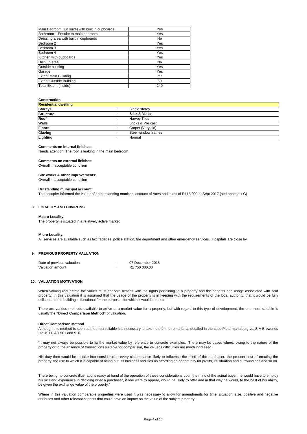| Main Bedroom (En suite) with built in cupboards | Yes            |
|-------------------------------------------------|----------------|
| Bathroom 1 Ensuite to main bedroom              | Yes            |
| Dressing area with built in cupboards           | No             |
| Bedroom 2                                       | Yes            |
| Bedroom 3                                       | Yes            |
| Bedroom 4                                       | Yes            |
| Kitchen with cupboards                          | Yes            |
| Dish up area                                    | No             |
| Outside building                                | Yes            |
| Garage                                          | Yes            |
| <b>Extent Main Building</b>                     | m <sup>2</sup> |
| <b>Extent Outside Building</b>                  | 60             |
| <b>Total Extent (Inside)</b>                    | 249            |

#### **Construction**

| <b>Residential dwelling</b> |  |                     |  |  |  |
|-----------------------------|--|---------------------|--|--|--|
| <b>Storeys</b>              |  | Single storey       |  |  |  |
| Structure                   |  | Brick & Mortar      |  |  |  |
| Roof                        |  | <b>Harvey Tiles</b> |  |  |  |
| <b>Walls</b>                |  | Bricks & Pre cast   |  |  |  |
| <b>Floors</b>               |  | Carpet (Very old)   |  |  |  |
| Glazing                     |  | Steel window frames |  |  |  |
| Lighting                    |  | Normal              |  |  |  |

#### **Comments on internal finishes:**

Needs attention. The roof is leaking in the main bedroom

#### **Comments on external finishes:**

Overall in acceptable condition

#### **Site works & other improvements:**

Overall in acceptable condition

#### **Outstanding municipal account**

The occupier informed the valuer of an outstanding municpal account of rates and taxes of R115 000 at Sept 2017 (see appendix G)

#### **8. LOCALITY AND ENVIRONS**

#### **Macro Locality:**

The property is situated in a relatively active market.

#### **Micro Locality:**

All services are available such as taxi facilities, police station, fire department and other emergency services. Hospitals are close by.

#### **9. PREVIOUS PROPERTY VALUATION**

| Date of previous valuation | 07 December 2018 |
|----------------------------|------------------|
| Valuation amount           | R1 750 000.00    |

#### **10. VALUATION MOTIVATION**

When valuing real estate the valuer must concern himself with the rights pertaining to a property and the benefits and usage associated with said property. In this valuation it is assumed that the usage of the property is in keeping with the requirements of the local authority, that it would be fully utilised and the building is functional for the purposes for which it would be used.

There are various methods available to arrive at a market value for a property, but with regard to this type of development, the one most suitable is usually the **"Direct Comparison Method"** of valuation.

#### **Direct Comparison Method**

Although this method is seen as the most reliable it is necessary to take note of the remarks as detailed in the case Pietermaritzburg vs. S A Breweries Ltd 1911, AD 501 and 516.

"It may not always be possible to fix the market value by reference to concrete examples. There may be cases where, owing to the nature of the property or to the absence of transactions suitable for comparison, the valuer's difficulties are much increased.

His duty then would be to take into consideration every circumstance likely to influence the mind of the purchaser, the present cost of erecting the property, the use to which it is capable of being put, its business facilities as affording an opportunity for profits, its situation and surroundings and so on.

There being no concrete illustrations ready at hand of the operation of these considerations upon the mind of the actual buyer, he would have to employ his skill and experience in deciding what a purchaser, if one were to appear, would be likely to offer and in that way he would, to the best of his ability, be given the exchange value of the property.'

Where in this valuation comparable properties were used it was necessary to allow for amendments for time, situation, size, positive and negative attributes and other relevant aspects that could have an impact on the value of the subject property.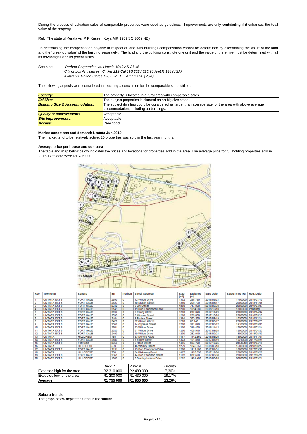During the process of valuation sales of comparable properties were used as guidelines. Improvements are only contributing if it enhances the total value of the property.

Ref: The state of Kerala vs. P P Kassen Koya AIR 1969 SC 360 (IND)

"In determining the compensation payable in respect of land with buildings compensation cannot be determined by ascertaining the value of the land and the "break up value" of the building separately. The land and the building constitute one unit and the value of the entire must be determined with all its advantages and its potentialities."

 *Klinter vs. United States 156 F 2d: 172 AmLR 232 (VSA)* See also: *Durban Corporation vs. Lincoln 1940 AD 36 45 City of Los Angeles vs. Klinker 219 Cal 198:252d 826:90 AmLR 148 (VSA)*

The following aspects were considered in reaching a conclusion for the comparable sales utilised:

| <b>Locality:</b><br>The property is located in a rural area with comparable sales |                                                                                                      |  |  |  |  |
|-----------------------------------------------------------------------------------|------------------------------------------------------------------------------------------------------|--|--|--|--|
| <b>Erf Size:</b><br>The subject properties is situated on an big size stand.      |                                                                                                      |  |  |  |  |
| <b>Building Size &amp; Accommodation:</b>                                         | The subject dwelling could be considered as larger than average size for the area with above average |  |  |  |  |
| accommodation, including outbuildings.                                            |                                                                                                      |  |  |  |  |
| <b>Quality of Improvements:</b>                                                   | Acceptable                                                                                           |  |  |  |  |
| <b>Site Improvements:</b>                                                         | Acceptable                                                                                           |  |  |  |  |
| Access:                                                                           | Very good                                                                                            |  |  |  |  |

#### **Market conditions and demand: Umtata Jun 2019**

The market tend to be relatively active, 20 properties was sold in the last year months.

#### Average price per house and compara

The table and map below below indicates the prices and locations for properties sold in the area. The average price for full holding properties sold in 2016-17 to date were R1 786 000.



| Key | Township            | <b>Suburb</b>    | Erf  | Portion | <b>Street Address</b>  | <b>Size</b><br>(m <sup>2</sup> ) | <b>Distance</b><br>(m) | Sale Date  | Sales Price (R) | Reg. Date          |
|-----|---------------------|------------------|------|---------|------------------------|----------------------------------|------------------------|------------|-----------------|--------------------|
|     | <b>UMTATA EXT 8</b> | <b>FORT GALE</b> | 2590 | o       | 12 Willow Drive        | 1302                             | 238.760                | 2018/05/21 | 1700000         | 2018/07/10         |
|     | <b>UMTATA EXT 8</b> | <b>FORT GALE</b> | 2427 | o       | 60 Sisson Street       | 1280                             | 209.790                | 2018/08/17 | 2200000         | 2018/11/08         |
|     | <b>UMTATA EXT 8</b> | <b>FORT GALE</b> | 2342 | o       | 8 Lily Street          | 1200                             | 717,800                | 2018/08/30 |                 | 2000000 2019/03/27 |
|     | <b>UMTATA EXT 7</b> | <b>FORT GALE</b> | 2149 | o       | 19 Don Thompson Drive  | 1200                             | 1094.080               | 2018/10/10 |                 | 1800000 Pending    |
|     | <b>UMTATA EXT 8</b> | <b>FORT GALE</b> | 2597 | o       | 9 Ebony Street         | 1280                             | 207.040                | 2017/11/29 |                 | 2000000 2018/04/04 |
| 6   | <b>UMTATA EXT 8</b> | <b>FORT GALE</b> | 2593 | o       | 8 Mimosa Street        | 1280                             | 235.080                | 2017/10/26 |                 | 2000000 2018/05/15 |
|     | <b>UMTATA EXT 8</b> | <b>FORT GALE</b> | 2464 | o       | 9 Protea Street        | 1394                             | 383.560                | 2018/09/19 | 1050000         | 2018/12/14         |
| 8   | <b>UMTATA EXT 8</b> | <b>FORT GALE</b> | 2420 | o       | 67 Sisson Street       | 1200                             | 62.140                 | 2017/05/17 |                 | 2200000 2017/06/29 |
| 9   | <b>UMTATA EXT 8</b> | <b>FORT GALE</b> | 2562 | o       | 14 Cypress Street      | 1200                             | 321.890                | 2017/06/12 |                 | 1910000 2018/03/05 |
| 10  | <b>UMTATA EXT 8</b> | <b>FORT GALE</b> | 2501 | o       | 23 Willow Drive        | 1200                             | 319.420                | 2016/11/12 |                 | 1700000 2018/02/14 |
| 11  | <b>UMTATA EXT 8</b> | <b>FORT GALE</b> | 2520 | o       | 61 Willow Drive        | 1200                             | 400.910                | 2017/09/28 |                 | 1200000 2018/04/23 |
| 12  | <b>UMTATA EXT 8</b> | <b>FORT GALE</b> | 2499 | o       | 19 Willow Drive        | 1200                             | 262.910                | 2018/02/21 | 800000          | 2018/08/30         |
| 13  | <b>UMTATA</b>       | <b>HILLCREST</b> | 758  | ٥       | 53 Delville Road       | 1487                             | 1442.560               | 2018/06/26 |                 | 1800000 2018/11/01 |
| 14  | <b>UMTATA EXT 8</b> | <b>FORT GALE</b> | 2600 | ٥       | 3 Ebony Street         | 1323                             | 191.850                | 2017/01/19 |                 | 1021000 2017/02/21 |
| 15  | <b>UMTATA EXT 8</b> | <b>Fort Gale</b> | 2365 | o       | 5 Rose Street          | 1486                             | 883.720                | 2017/10/25 |                 | 2464640 2018/04/18 |
| 16  | <b>UMTATA</b>       | <b>HILLCREST</b> | 539  | o       | 46 Wesley Street       | 1239                             | 1845.050               | 2018/05/18 |                 | 1500000 2018/08/27 |
| 17  | <b>UMTATA EXT 7</b> | <b>FORT GALE</b> | 2151 | o       | 15 Don Thompson Drive  | 1200                             | 1112,490               | 2017/01/31 |                 | 1800000 2017/03/30 |
| 18  | <b>UMTATA</b>       | <b>HILLCREST</b> | 708  | o       | 64 Blakeway Road       | 1487                             | 1420.630               | 2017/12/06 | 2000000         | 2018/03/28         |
| 19  | <b>UMTATA EXT 8</b> | <b>FORT GALE</b> | 2361 | o       | 44 Don Thomson Street  | 1182                             | 832.690                | 2017/03/30 | 2300000         | 2017/06/20         |
| 20  | <b>UMTATA EXT 6</b> | <b>HILLCREST</b> | 1989 | o       | 5 Stanley Nelson Drive | 1282                             | 1431.400               | 2018/06/20 |                 | 3000000 2018/09/21 |

|                            | Dec-17     | May-19      | Growth |
|----------------------------|------------|-------------|--------|
| Expected high for the area | R2 310 000 | R2 480 000  | 7.36%  |
| Expected low for the area  | R1 200 000 | R1 430 000  | 19.17% |
| Average                    | R1 755 000 | IR1 955 000 | 13,26% |

#### **Suburb trends**

The graph below depict the trend in the suburb.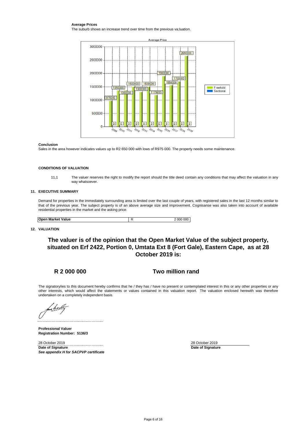#### **Average Prices**

The suburb shows an increase trend over time from the previous va;luation.



#### **Conclusion**

Sales in the area however indicates values up to R2 650 000 with lows of R975 000. The property needs some maintenance.

#### **CONDITIONS OF VALUATION**

11,1 The valuer reserves the right to modify the report should the title deed contain any conditions that may affect the valuation in any way whatsoever.

#### **11. EXECUTIVE SUMMARY**

Demand for properties in the immediately surrounding area is limited over the last couple of years, with registered sales in the last 12 months similar to that of the previous year. The subject property is of an above average size and improvement. Cognisanse was also taken into account of available residential properties in the market and the asking price.

| <b>Open Market Value</b> | 000<br>000 |
|--------------------------|------------|

### **12. VALUATION**

### **The valuer is of the opinion that the Open Market Value of the subject property, situated on Erf 2422, Portion 0, Umtata Ext 8 (Fort Gale), Eastern Cape, as at 28 October 2019 is:**

### **R 2 000 000**

### **Two million rand**

The signatory/ies to this document hereby confirms that he / they has / have no present or contemplated interest in this or any other properties or any other interests, which would affect the statements or values contained in this valuation report. The valuation enclosed herewith was therefore undertaken on a completely independent basis.

**Professional Valuer Registration Number: 5136/3**

28 October 2019 **Date of Signature** *See appendix H for SACPVP certificate* **Date of Signature** 28 October 2019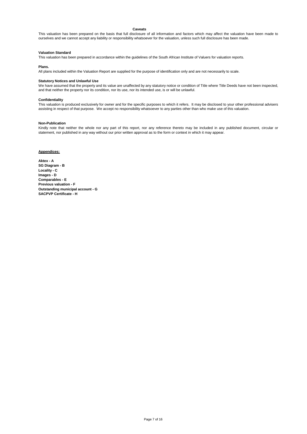#### **Caveats**

This valuation has been prepared on the basis that full disclosure of all information and factors which may affect the valuation have been made to ourselves and we cannot accept any liability or responsibility whatsoever for the valuation, unless such full disclosure has been made.

#### **Valuation Standard**

This valuation has been prepared in accordance within the guidelines of the South African Institute of Valuers for valuation reports.

#### **Plans.**

All plans included within the Valuation Report are supplied for the purpose of identification only and are not necessarily to scale.

#### **Statutory Notices and Unlawful Use**

We have assumed that the property and its value are unaffected by any statutory notice or condition of Title where Title Deeds have not been inspected, and that neither the property nor its condition, nor its use, nor its intended use, is or will be unlawful.

#### **Confidentiality**

This valuation is produced exclusively for owner and for the specific purposes to which it refers. It may be disclosed to your other professional advisers assisting in respect of that purpose. We accept no responsibility whatsoever to any parties other than who make use of this valuation.

#### **Non-Publication**

Kindly note that neither the whole nor any part of this report, nor any reference thereto may be included in any published document, circular or statement, nor published in any way without our prior written approval as to the form or context in which it may appear.

#### **Appendices:**

**Aktex - A SG Diagram - B Locality - C Images - D Comparables - E Previous valuation - F Outstanding municipal account - G SACPVP Certificate - H**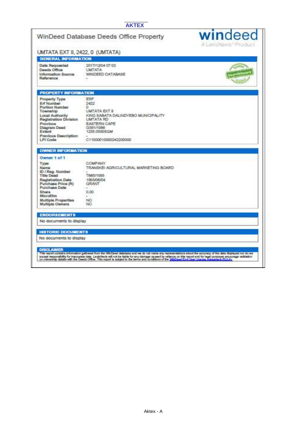### **AKTEX**

|                                                                                                                                                                                  | WinDeed Database Deeds Office Property                                                                                                                             | windeed<br>A LaxisNexis Product |  |
|----------------------------------------------------------------------------------------------------------------------------------------------------------------------------------|--------------------------------------------------------------------------------------------------------------------------------------------------------------------|---------------------------------|--|
| UMTATA EXT 8, 2422, 0 (UMTATA)                                                                                                                                                   |                                                                                                                                                                    |                                 |  |
| <b>GENERAL INFORMATION</b>                                                                                                                                                       |                                                                                                                                                                    |                                 |  |
| Data Requested<br>Deeds Office<br>Information Source<br>Reference                                                                                                                | 2017/12/04 07:03<br><b>ATATM!</b><br>WINDEED DATABASE                                                                                                              |                                 |  |
| <b>PROPERTY INFORMATION</b>                                                                                                                                                      |                                                                                                                                                                    |                                 |  |
| Property Type:<br>Erf Number<br>Portion Number<br>Township<br>Local Authority<br>Registration Division<br>Province<br>Diagram Deed<br>Extent<br>Previous Description<br>LPI Code | ERF<br>2422<br>n.<br>UMTATA EXT 8<br>KING SABATA DALINDYEBO MUNICIPALITY<br><b>UMTATA RD</b><br>EASTERN CAPE<br>6391/1988<br>1235.0000SQM<br>C11000010000242200000 |                                 |  |
| <b>OWNER INFORMATION</b><br>Owner 1 of 1                                                                                                                                         |                                                                                                                                                                    |                                 |  |
| Туре<br>Name<br>ID / Reg. Number<br>Title Dood<br>Registration Date<br>Purchase Price (R)<br>Purchase Date:                                                                      | COMPANY.<br>TRANSKEI AGRICULTURAL MARKETING BOARD<br>T685/1993<br>1963/06/04<br><b>GRANT</b><br>÷<br>0.00                                                          |                                 |  |
| Share<br>Microfilm<br>Multiple Properties<br><b>Multiple Owners</b>                                                                                                              | 200<br>NO.<br>NO                                                                                                                                                   |                                 |  |
| <b>ENDORSEMENTS</b>                                                                                                                                                              |                                                                                                                                                                    |                                 |  |

DISCLAMER<br>La nomination de la complete la traite la facta de la completa de la complete la completa accompanya de la co<br>completa de la nomination de la completa subjecto de la completa de la proposa de la mortana formada e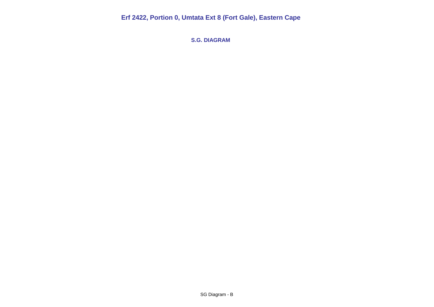**S.G. DIAGRAM**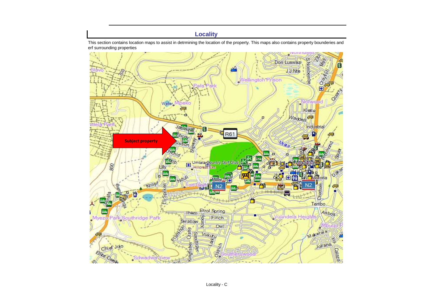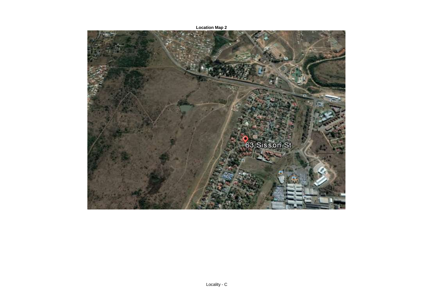

**Location Map 2**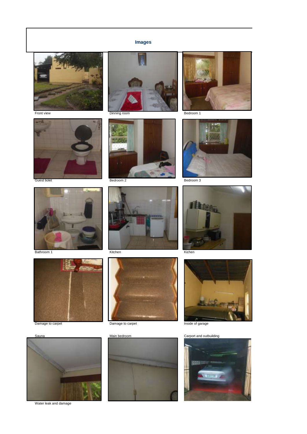### **Images**







Bathroom 1 Kitchen Kitchen Kitchen Kitchen Kitchen Kitchen Kitchen Kitchen Kitchen Kitchen Kitchen Kitchen Kitchen Kitchen Kitchen Kitchen Kitchen Kitchen Kitchen Kitchen Kitchen Kitchen Kitchen Kitchen Kitchen Kitchen Kit



















Water leak and damage



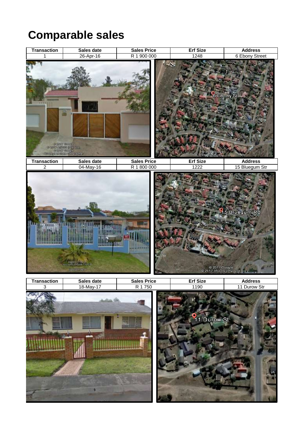# **Comparable sales**

| <b>Transaction</b> | Sales date                                                                                                                                                                                                                                                                                                                                                       | <b>Sales Price</b> | <b>Erf Size</b>                           | <b>Address</b>    |
|--------------------|------------------------------------------------------------------------------------------------------------------------------------------------------------------------------------------------------------------------------------------------------------------------------------------------------------------------------------------------------------------|--------------------|-------------------------------------------|-------------------|
| 1                  | 26-Apr-16                                                                                                                                                                                                                                                                                                                                                        | R 1 900 000        | 1248                                      | 6 Ebony Street    |
| 英雄長町               | e<br>$\begin{array}{r} \begin{array}{l} \in \mathcal{D} \mathcal{M} \mathcal{I} \end{array} \begin{array}{l} \text{even, the}\\ \text{for all } \mathcal{I} \end{array} \end{array}$ $\begin{array}{l} \begin{array}{l} \mathcal{D} \mathcal{M} \mathcal{I} \end{array} \begin{array}{l} \text{even, the}\\ \text{for all } \mathcal{I} \end{array} \end{array}$ |                    | le 20∄7 Geogle<br>!e17 Art e1st Pfy) 1 td | <b>6 Ebony St</b> |
| <b>Transaction</b> | Sales date                                                                                                                                                                                                                                                                                                                                                       | <b>Sales Price</b> | <b>Erf Size</b>                           | <b>Address</b>    |
| $\overline{2}$     | 04-May-16                                                                                                                                                                                                                                                                                                                                                        | R 1 800 000        | 1222                                      | 15 Bluegum Str    |
|                    | ,,,,,,,,,<br><b>TERRITORIA</b><br>Reserve to a                                                                                                                                                                                                                                                                                                                   |                    | @ 2017 Geegle<br>@ 2017 AfriGIS (Pty) Ltd | 15 Bluegum Rd     |
| $rac{1}{3}$        | Sales date                                                                                                                                                                                                                                                                                                                                                       | <b>Sales Price</b> | <b>Erf Size</b>                           | <b>Address</b>    |
|                    | 18-May-17                                                                                                                                                                                                                                                                                                                                                        | R 1750             | 1190                                      | 11 Durow Str      |
|                    |                                                                                                                                                                                                                                                                                                                                                                  |                    | 11 Durow St                               |                   |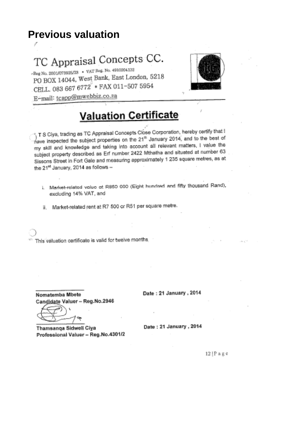## **Previous valuation**

# TC Appraisal Concepts CC.

 $\circ$ Reg No. 2001/073925/23 + VAT Reg. No. 4910204132 PO BOX 14044, West Bank, East London, 5218 CELL. 083 667 6772 \* FAX 011-507 5954 E-mail: tcapp@mwebbiz.co.za



# **Valuation Certificate**

1 T S Ciya, trading as TC Appraisal Concepts Close Corporation, hereby certify that I have inspected the subject properties on the 21<sup>th</sup> January 2014, and to the best of my skill and knowledge and taking into account all relevant matters, I value the subject property described as En number 2422 Mthatha and situated at number 63 Sissons Street in Fort Gale and measuring approximately 1 235 square metres, as at the 2<sup>4tt</sup> January, 2014 as follows -

1. Market-related voluo at R850 000 (Eight hundred and fifty thousand Rand), excluding 14% VAT, and

ii. Market-related rent at R7 500 or R51 per square metre.

This valuation certificate is valid for twelve months.

Nomatemba Mbete Candidate Valuer - Reg.No.2946 Date: 21 January, 2014

Thamsanga Sidwell Ciya Professional Valuer - Reg.No.4301/2 Date: 21 January, 2014

 $12|P$  a g  $e$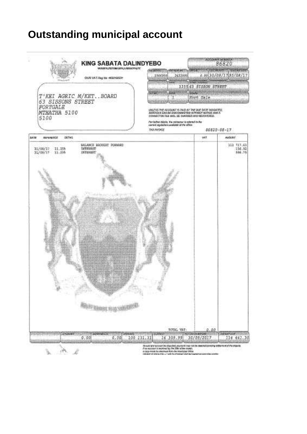# **Outstanding municipal account**